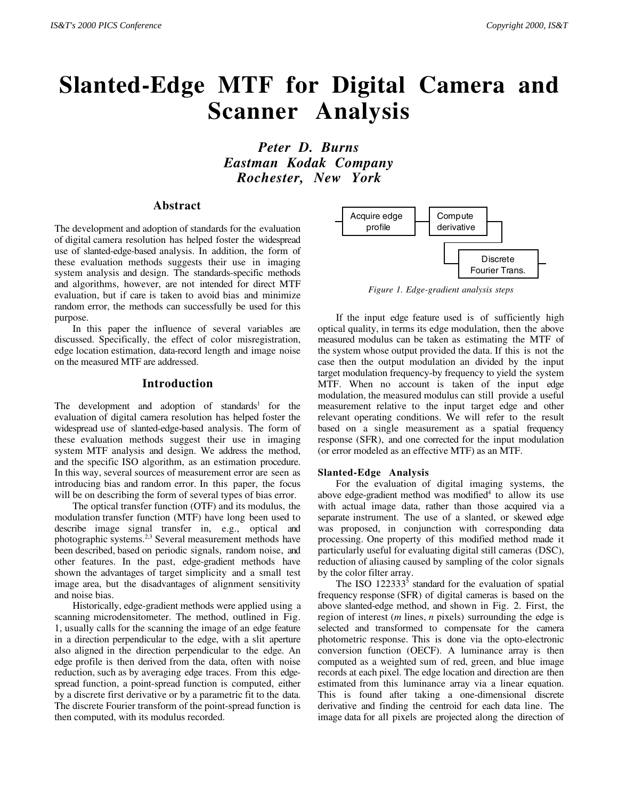# **Slanted-Edge MTF for Digital Camera and Scanner Analysis**

*Peter D. Burns Eastman Kodak Company Rochester, New York*

## **Abstract**

The development and adoption of standards for the evaluation of digital camera resolution has helped foster the widespread use of slanted-edge-based analysis. In addition, the form of these evaluation methods suggests their use in imaging system analysis and design. The standards-specific methods and algorithms, however, are not intended for direct MTF evaluation, but if care is taken to avoid bias and minimize random error, the methods can successfully be used for this purpose.

In this paper the influence of several variables are discussed. Specifically, the effect of color misregistration, edge location estimation, data-record length and image noise on the measured MTF are addressed.

## **Introduction**

The development and adoption of standards<sup>1</sup> for the evaluation of digital camera resolution has helped foster the widespread use of slanted-edge-based analysis. The form of these evaluation methods suggest their use in imaging system MTF analysis and design. We address the method, and the specific ISO algorithm, as an estimation procedure. In this way, several sources of measurement error are seen as introducing bias and random error. In this paper, the focus will be on describing the form of several types of bias error.

The optical transfer function (OTF) and its modulus, the modulation transfer function (MTF) have long been used to describe image signal transfer in, e.g., optical and photographic systems.2,3 Several measurement methods have been described, based on periodic signals, random noise, and other features. In the past, edge-gradient methods have shown the advantages of target simplicity and a small test image area, but the disadvantages of alignment sensitivity and noise bias.

Historically, edge-gradient methods were applied using a scanning microdensitometer. The method, outlined in Fig. 1, usually calls for the scanning the image of an edge feature in a direction perpendicular to the edge, with a slit aperture also aligned in the direction perpendicular to the edge. An edge profile is then derived from the data, often with noise reduction, such as by averaging edge traces. From this edgespread function, a point-spread function is computed, either by a discrete first derivative or by a parametric fit to the data. The discrete Fourier transform of the point-spread function is then computed, with its modulus recorded.



*Figure 1. Edge-gradient analysis steps*

If the input edge feature used is of sufficiently high optical quality, in terms its edge modulation, then the above measured modulus can be taken as estimating the MTF of the system whose output provided the data. If this is not the case then the output modulation an divided by the input target modulation frequency-by frequency to yield the system MTF. When no account is taken of the input edge modulation, the measured modulus can still provide a useful measurement relative to the input target edge and other relevant operating conditions. We will refer to the result based on a single measurement as a spatial frequency response (SFR), and one corrected for the input modulation (or error modeled as an effective MTF) as an MTF.

#### **Slanted-Edge Analysis**

For the evaluation of digital imaging systems, the above edge-gradient method was modified<sup>4</sup> to allow its use with actual image data, rather than those acquired via a separate instrument. The use of a slanted, or skewed edge was proposed, in conjunction with corresponding data processing. One property of this modified method made it particularly useful for evaluating digital still cameras (DSC), reduction of aliasing caused by sampling of the color signals by the color filter array.

The ISO  $122333<sup>5</sup>$  standard for the evaluation of spatial frequency response (SFR) of digital cameras is based on the above slanted-edge method, and shown in Fig. 2. First, the region of interest (*m* lines, *n* pixels) surrounding the edge is selected and transformed to compensate for the camera photometric response. This is done via the opto-electronic conversion function (OECF). A luminance array is then computed as a weighted sum of red, green, and blue image records at each pixel. The edge location and direction are then estimated from this luminance array via a linear equation. This is found after taking a one-dimensional discrete derivative and finding the centroid for each data line. The image data for all pixels are projected along the direction of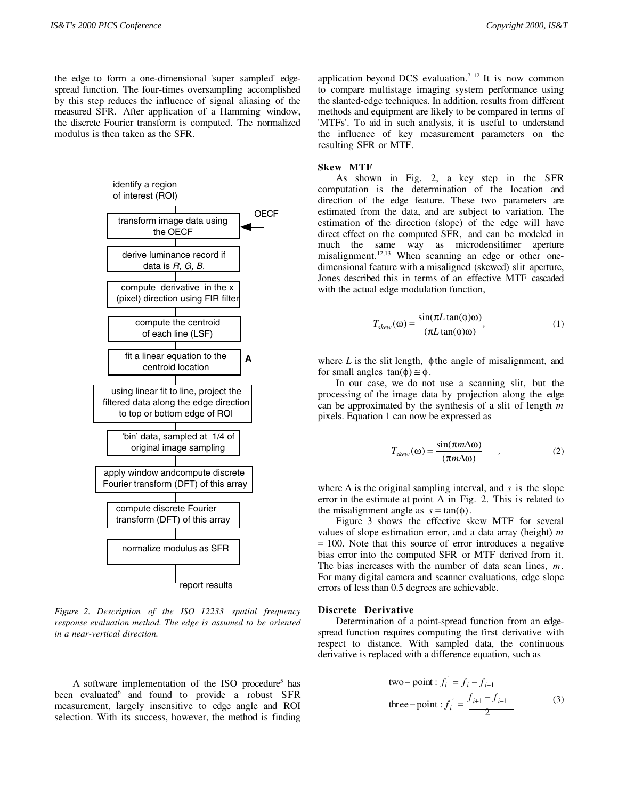the edge to form a one-dimensional 'super sampled' edgespread function. The four-times oversampling accomplished by this step reduces the influence of signal aliasing of the measured SFR. After application of a Hamming window, the discrete Fourier transform is computed. The normalized modulus is then taken as the SFR.



*Figure 2. Description of the ISO 12233 spatial frequency response evaluation method. The edge is assumed to be oriented in a near-vertical direction.*

A software implementation of the ISO procedure<sup>5</sup> has been evaluated<sup>6</sup> and found to provide a robust SFR measurement, largely insensitive to edge angle and ROI selection. With its success, however, the method is finding application beyond DCS evaluation.<sup>7-12</sup> It is now common to compare multistage imaging system performance using the slanted-edge techniques. In addition, results from different methods and equipment are likely to be compared in terms of 'MTFs'. To aid in such analysis, it is useful to understand the influence of key measurement parameters on the resulting SFR or MTF.

#### **Skew MTF**

As shown in Fig. 2, a key step in the SFR computation is the determination of the location and direction of the edge feature. These two parameters are estimated from the data, and are subject to variation. The estimation of the direction (slope) of the edge will have direct effect on the computed SFR, and can be modeled in much the same way as microdensitimer aperture misalignment.<sup>12,13</sup> When scanning an edge or other onedimensional feature with a misaligned (skewed) slit aperture, Jones described this in terms of an effective MTF cascaded with the actual edge modulation function,

$$
T_{skew}(\omega) = \frac{\sin(\pi L \tan(\phi)\omega)}{(\pi L \tan(\phi)\omega)},
$$
\n(1)

where *L* is the slit length, φthe angle of misalignment, and for small angles  $tan(\phi) \approx \phi$ .

In our case, we do not use a scanning slit, but the processing of the image data by projection along the edge can be approximated by the synthesis of a slit of length *m* pixels. Equation 1 can now be expressed as

$$
T_{skew}(\omega) = \frac{\sin(\pi m \Delta \omega)}{(\pi m \Delta \omega)} \qquad , \qquad (2)
$$

where ∆ is the original sampling interval, and *s* is the slope error in the estimate at point A in Fig. 2. This is related to the misalignment angle as  $s = \tan(\phi)$ .

Figure 3 shows the effective skew MTF for several values of slope estimation error, and a data array (height) *m* = 100. Note that this source of error introduces a negative bias error into the computed SFR or MTF derived from it. The bias increases with the number of data scan lines, *m*. For many digital camera and scanner evaluations, edge slope errors of less than 0.5 degrees are achievable.

#### **Discrete Derivative**

Determination of a point-spread function from an edgespread function requires computing the first derivative with respect to distance. With sampled data, the continuous derivative is replaced with a difference equation, such as

two-point : 
$$
f_i = f_i - f_{i-1}
$$
  
three-point :  $f'_i = \frac{f_{i+1} - f_{i-1}}{2}$  (3)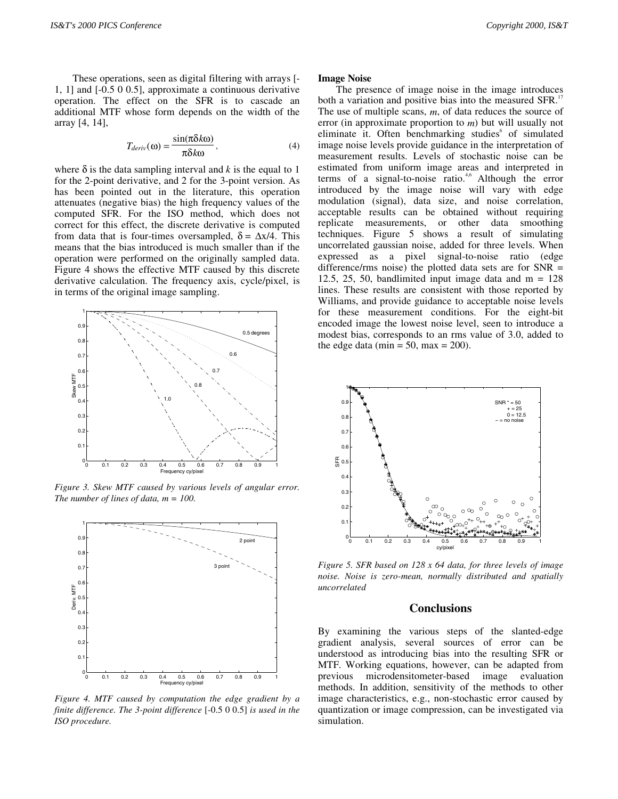These operations, seen as digital filtering with arrays [- 1, 1] and [-0.5 0 0.5], approximate a continuous derivative operation. The effect on the SFR is to cascade an additional MTF whose form depends on the width of the array [4, 14],

$$
T_{deriv}(\omega) = \frac{\sin(\pi \delta k \omega)}{\pi \delta k \omega},
$$
\n(4)

where  $\delta$  is the data sampling interval and *k* is the equal to 1 for the 2-point derivative, and 2 for the 3-point version. As has been pointed out in the literature, this operation attenuates (negative bias) the high frequency values of the computed SFR. For the ISO method, which does not correct for this effect, the discrete derivative is computed from data that is four-times oversampled,  $\delta = \Delta x/4$ . This means that the bias introduced is much smaller than if the operation were performed on the originally sampled data. Figure 4 shows the effective MTF caused by this discrete derivative calculation. The frequency axis, cycle/pixel, is in terms of the original image sampling.



*Figure 3. Skew MTF caused by various levels of angular error. The number of lines of data, m = 100.*



*Figure 4. MTF caused by computation the edge gradient by a finite difference. The 3-point difference* [-0.5 0 0.5] *is used in the ISO procedure.*

#### **Image Noise**

The presence of image noise in the image introduces both a variation and positive bias into the measured SFR.<sup>17</sup> The use of multiple scans, *m*, of data reduces the source of error (in approximate proportion to *m*) but will usually not eliminate it. Often benchmarking studies<sup>6</sup> of simulated image noise levels provide guidance in the interpretation of measurement results. Levels of stochastic noise can be estimated from uniform image areas and interpreted in terms of a signal-to-noise ratio.<sup>4,6</sup> Although the error introduced by the image noise will vary with edge modulation (signal), data size, and noise correlation, acceptable results can be obtained without requiring replicate measurements, or other data smoothing techniques. Figure 5 shows a result of simulating uncorrelated gaussian noise, added for three levels. When expressed as a pixel signal-to-noise ratio (edge difference/rms noise) the plotted data sets are for SNR = 12.5, 25, 50, bandlimited input image data and  $m = 128$ lines. These results are consistent with those reported by Williams, and provide guidance to acceptable noise levels for these measurement conditions. For the eight-bit encoded image the lowest noise level, seen to introduce a modest bias, corresponds to an rms value of 3.0, added to the edge data (min = 50, max = 200).



*Figure 5. SFR based on 128 x 64 data, for three levels of image noise. Noise is zero-mean, normally distributed and spatially uncorrelated*

## **Conclusions**

By examining the various steps of the slanted-edge gradient analysis, several sources of error can be understood as introducing bias into the resulting SFR or MTF. Working equations, however, can be adapted from previous microdensitometer-based image evaluation methods. In addition, sensitivity of the methods to other image characteristics, e.g., non-stochastic error caused by quantization or image compression, can be investigated via simulation.